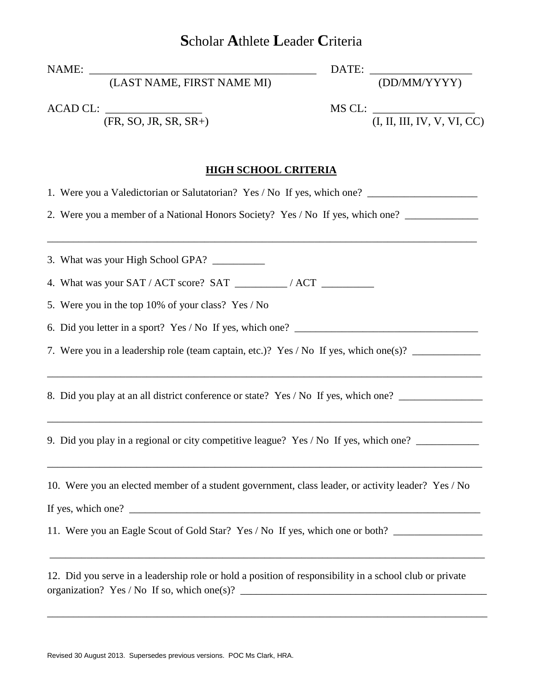## **S**cholar **A**thlete **L**eader **C**riteria

|                                                                                                                                                                                                                              | DATE: <u>(DD/MM/YYYY)</u>                      |
|------------------------------------------------------------------------------------------------------------------------------------------------------------------------------------------------------------------------------|------------------------------------------------|
| ACAD CL: $\frac{\text{(FR, SO, JR, SR, SR+)}}{\text{(FR, SO, JR, SR, SR+)}}$                                                                                                                                                 | MS CL: $\frac{1}{(I, II, III, IV, V, VI, CC)}$ |
| <b>HIGH SCHOOL CRITERIA</b>                                                                                                                                                                                                  |                                                |
| 1. Were you a Valedictorian or Salutatorian? Yes / No If yes, which one? ___________________________                                                                                                                         |                                                |
| 2. Were you a member of a National Honors Society? Yes / No If yes, which one? ____________________                                                                                                                          |                                                |
| 3. What was your High School GPA?                                                                                                                                                                                            |                                                |
| 4. What was your SAT / ACT score? SAT __________ / ACT __________________________                                                                                                                                            |                                                |
| 5. Were you in the top 10% of your class? Yes / No                                                                                                                                                                           |                                                |
|                                                                                                                                                                                                                              |                                                |
| 7. Were you in a leadership role (team captain, etc.)? Yes / No If yes, which one(s)?                                                                                                                                        |                                                |
| 8. Did you play at an all district conference or state? Yes / No If yes, which one? _______________                                                                                                                          |                                                |
| ,我们也不会有什么。""我们的人,我们也不会有什么?""我们的人,我们也不会有什么?""我们的人,我们也不会有什么?""我们的人,我们也不会有什么?""我们的人<br>9. Did you play in a regional or city competitive league? Yes / No If yes, which one?                                                    |                                                |
| <u> 1940 - Paris Paris II, martin din Barat dan Barat dan Barat dan Barat dan Barat dan Barat dan Barat dan Barat </u><br>10. Were you an elected member of a student government, class leader, or activity leader? Yes / No |                                                |
| If yes, which one? $\sqrt{ }$                                                                                                                                                                                                |                                                |
| 11. Were you an Eagle Scout of Gold Star? Yes / No If yes, which one or both?<br>,我们也不会有什么。""我们的人,我们也不会有什么?""我们的人,我们也不会有什么?""我们的人,我们的人,我们的人,我们的人,我们的人,我们的人,我们的人,我                                                            |                                                |
| 12. Did you serve in a leadership role or hold a position of responsibility in a school club or private                                                                                                                      |                                                |

\_\_\_\_\_\_\_\_\_\_\_\_\_\_\_\_\_\_\_\_\_\_\_\_\_\_\_\_\_\_\_\_\_\_\_\_\_\_\_\_\_\_\_\_\_\_\_\_\_\_\_\_\_\_\_\_\_\_\_\_\_\_\_\_\_\_\_\_\_\_\_\_\_\_\_\_\_\_\_\_\_\_\_\_